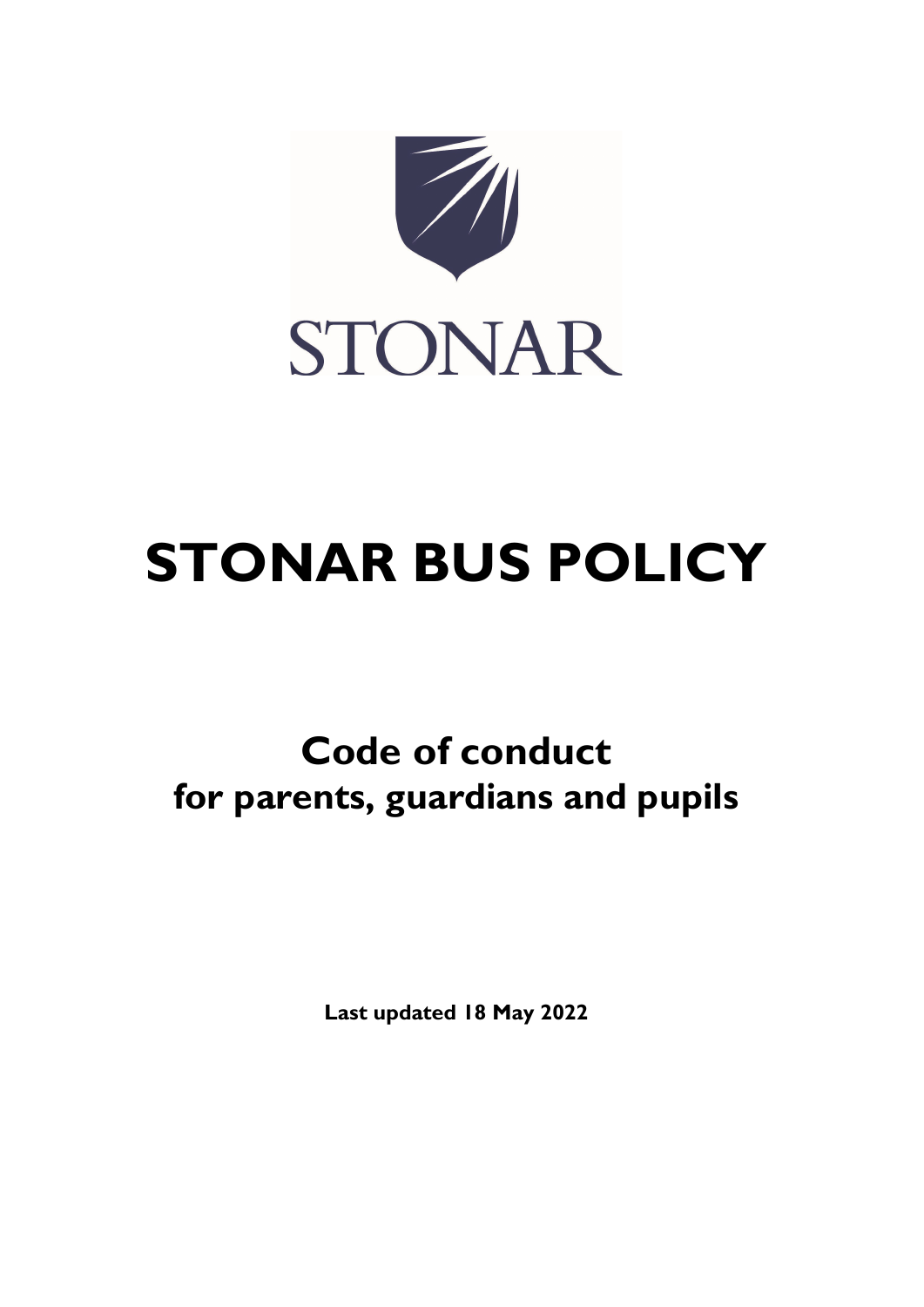

# STONAR BUS POLICY

# Code of conduct for parents, guardians and pupils

Last updated 18 May 2022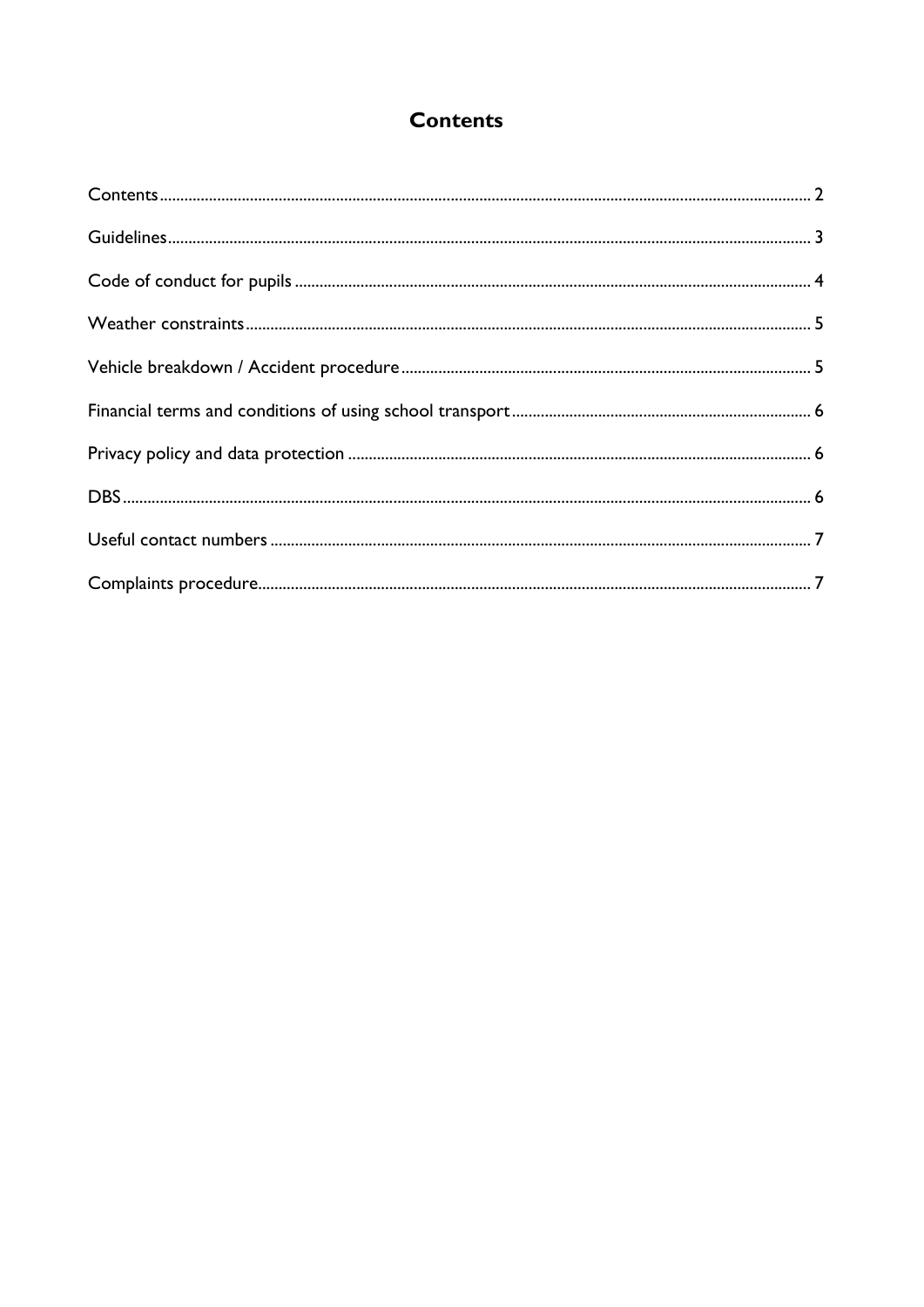# **Contents**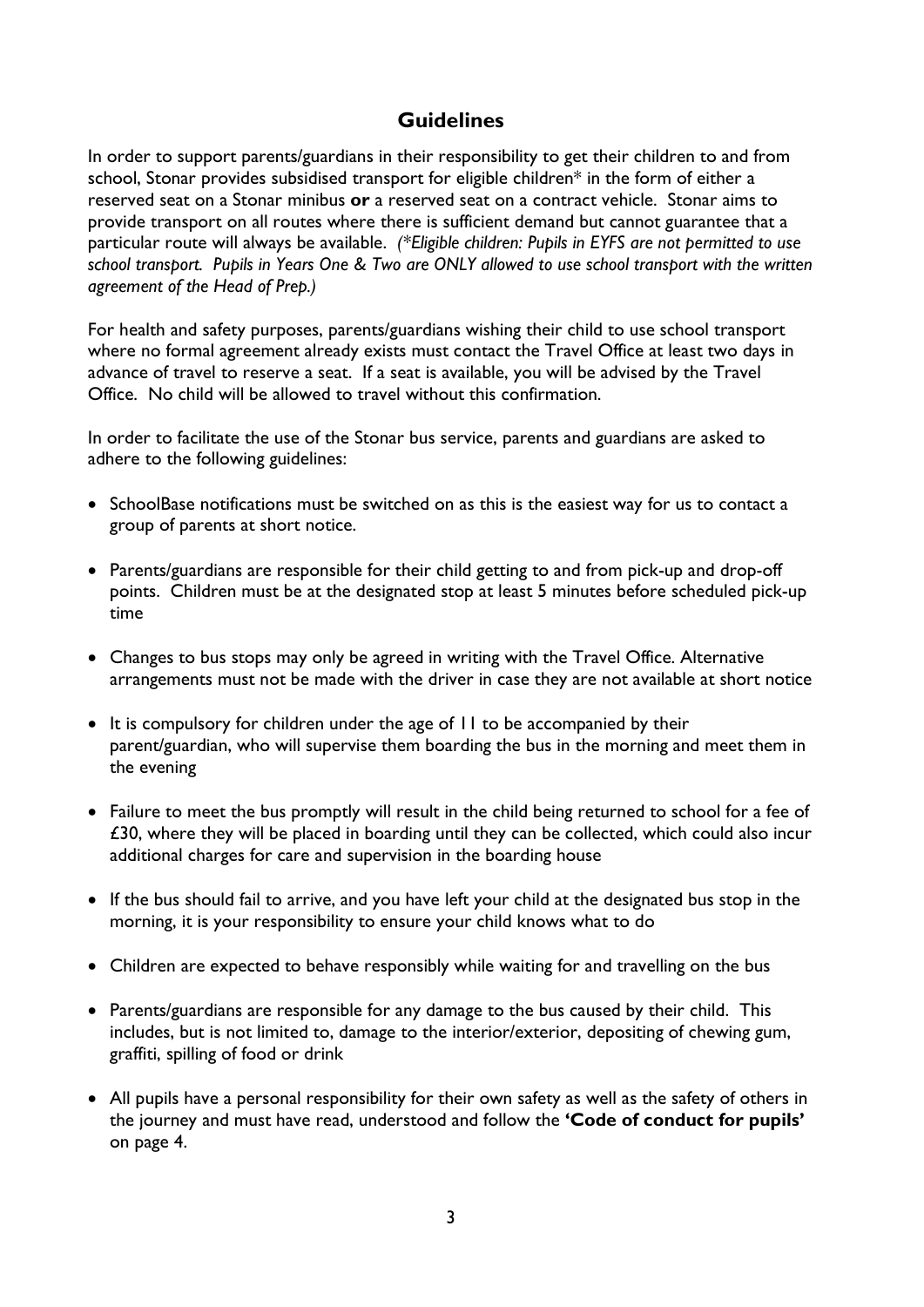# **Guidelines**

In order to support parents/guardians in their responsibility to get their children to and from school, Stonar provides subsidised transport for eligible children\* in the form of either a reserved seat on a Stonar minibus or a reserved seat on a contract vehicle. Stonar aims to provide transport on all routes where there is sufficient demand but cannot guarantee that a particular route will always be available. (\*Eligible children: Pupils in EYFS are not permitted to use school transport. Pupils in Years One & Two are ONLY allowed to use school transport with the written agreement of the Head of Prep.)

For health and safety purposes, parents/guardians wishing their child to use school transport where no formal agreement already exists must contact the Travel Office at least two days in advance of travel to reserve a seat. If a seat is available, you will be advised by the Travel Office. No child will be allowed to travel without this confirmation.

In order to facilitate the use of the Stonar bus service, parents and guardians are asked to adhere to the following guidelines:

- SchoolBase notifications must be switched on as this is the easiest way for us to contact a group of parents at short notice.
- Parents/guardians are responsible for their child getting to and from pick-up and drop-off points. Children must be at the designated stop at least 5 minutes before scheduled pick-up time
- Changes to bus stops may only be agreed in writing with the Travel Office. Alternative arrangements must not be made with the driver in case they are not available at short notice
- It is compulsory for children under the age of II to be accompanied by their parent/guardian, who will supervise them boarding the bus in the morning and meet them in the evening
- Failure to meet the bus promptly will result in the child being returned to school for a fee of £30, where they will be placed in boarding until they can be collected, which could also incur additional charges for care and supervision in the boarding house
- If the bus should fail to arrive, and you have left your child at the designated bus stop in the morning, it is your responsibility to ensure your child knows what to do
- Children are expected to behave responsibly while waiting for and travelling on the bus
- Parents/guardians are responsible for any damage to the bus caused by their child. This includes, but is not limited to, damage to the interior/exterior, depositing of chewing gum, graffiti, spilling of food or drink
- All pupils have a personal responsibility for their own safety as well as the safety of others in the journey and must have read, understood and follow the 'Code of conduct for pupils' on page 4.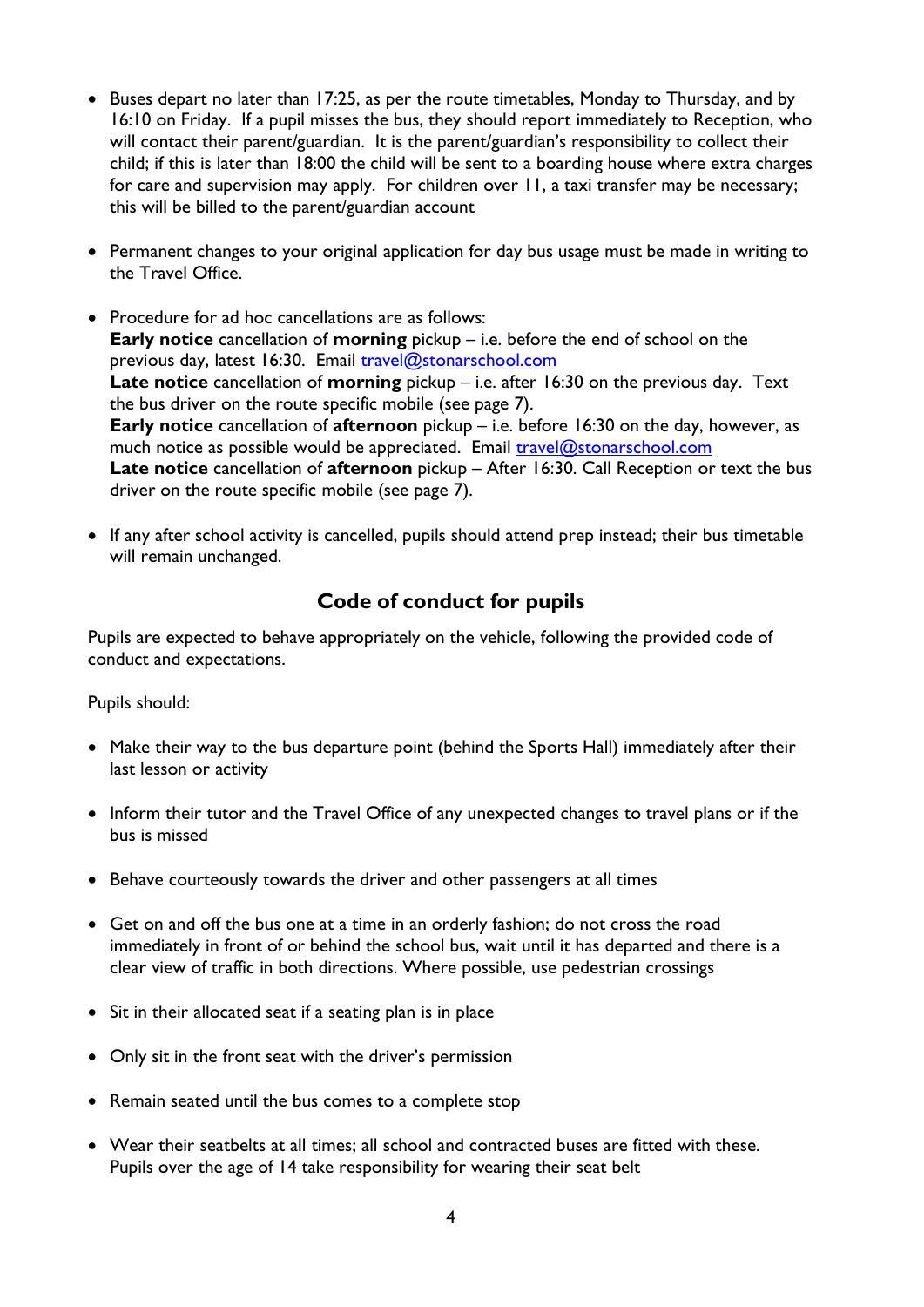- $\bullet$  Buses depart no later than 17:25, as per the route timetables, Monday to Thursday, and by 16:10 on Friday. If a pupil misses the bus, they should report immediately to Reception, who will contact their parent/guardian. It is the parent/guardian's responsibility to collect their child; if this is later than 18:00 the child will be sent to a boarding house where extra charges for care and supervision may apply. For children over 11, a taxi transfer may be necessary; this will be billed to the parent/guardian account
- Permanent changes to your original application for day bus usage must be made in writing to the Travel Office.
- Procedure for ad hoc cancellations are as follows: **Early notice** cancellation of **morning** pickup  $-$  i.e. before the end of school on the previous day, latest 16:30. Email travel@stonarschool.com Late notice cancellation of morning pickup  $-$  i.e. after 16:30 on the previous day. Text the bus driver on the route specific mobile (see page 7). Early notice cancellation of afternoon pickup – i.e. before 16:30 on the day, however, as much notice as possible would be appreciated. Email travel@stonarschool.com Late notice cancellation of afternoon pickup – After 16:30. Call Reception or text the bus driver on the route specific mobile (see page 7).
- If any after school activity is cancelled, pupils should attend prep instead; their bus timetable will remain unchanged.

# Code of conduct for pupils

Pupils are expected to behave appropriately on the vehicle, following the provided code of conduct and expectations.

Pupils should:

- Make their way to the bus departure point (behind the Sports Hall) immediately after their last lesson or activity
- Inform their tutor and the Travel Office of any unexpected changes to travel plans or if the bus is missed
- Behave courteously towards the driver and other passengers at all times
- Get on and off the bus one at a time in an orderly fashion; do not cross the road immediately in front of or behind the school bus, wait until it has departed and there is a clear view of traffic in both directions. Where possible, use pedestrian crossings
- Sit in their allocated seat if a seating plan is in place
- Only sit in the front seat with the driver's permission
- Remain seated until the bus comes to a complete stop
- Wear their seatbelts at all times; all school and contracted buses are fitted with these. Pupils over the age of 14 take responsibility for wearing their seat belt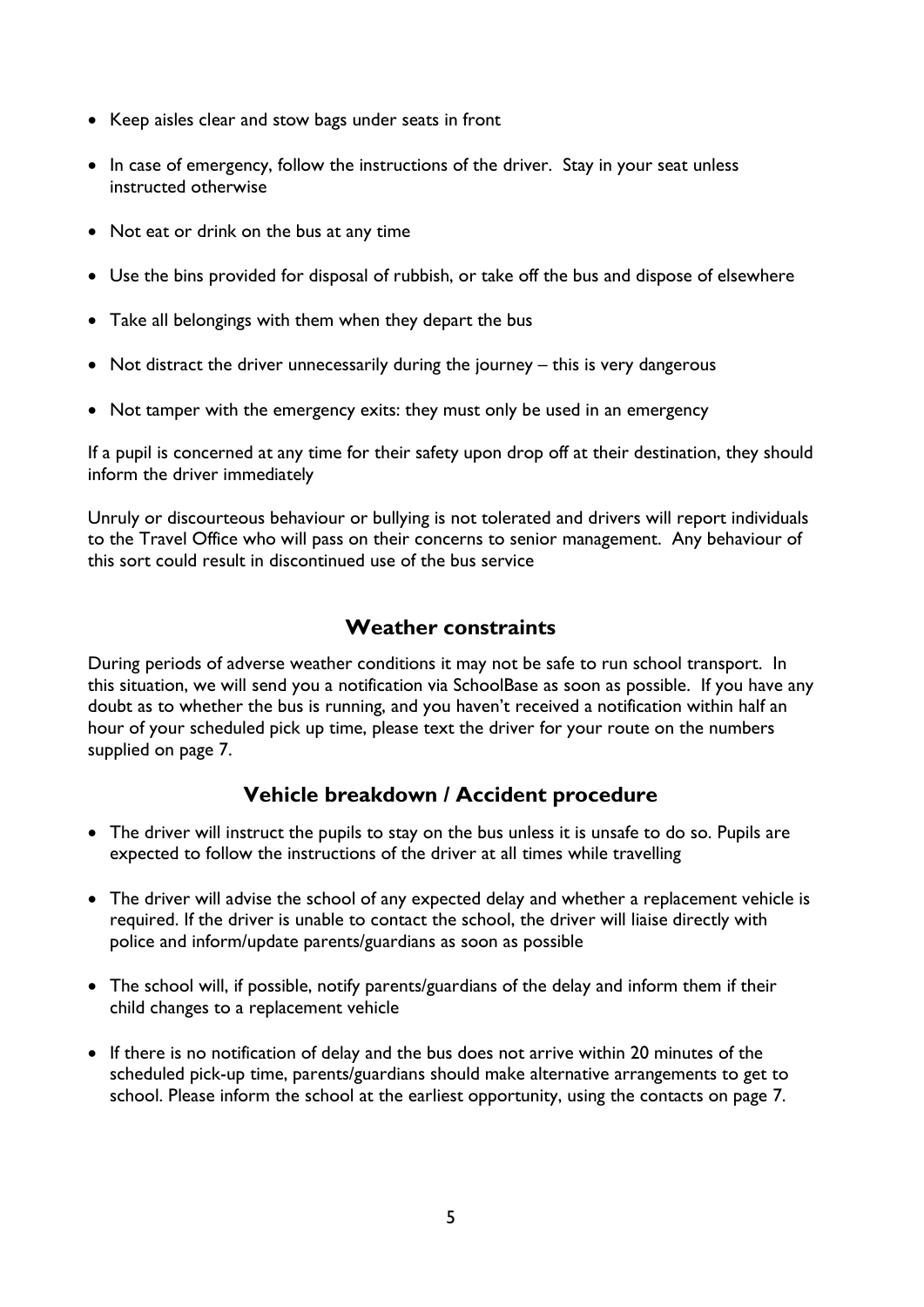- Keep aisles clear and stow bags under seats in front
- In case of emergency, follow the instructions of the driver. Stay in your seat unless instructed otherwise
- Not eat or drink on the bus at any time
- Use the bins provided for disposal of rubbish, or take off the bus and dispose of elsewhere
- Take all belongings with them when they depart the bus
- Not distract the driver unnecessarily during the journey this is very dangerous
- Not tamper with the emergency exits: they must only be used in an emergency

If a pupil is concerned at any time for their safety upon drop off at their destination, they should inform the driver immediately

Unruly or discourteous behaviour or bullying is not tolerated and drivers will report individuals to the Travel Office who will pass on their concerns to senior management. Any behaviour of this sort could result in discontinued use of the bus service

# Weather constraints

During periods of adverse weather conditions it may not be safe to run school transport. In this situation, we will send you a notification via SchoolBase as soon as possible. If you have any doubt as to whether the bus is running, and you haven't received a notification within half an hour of your scheduled pick up time, please text the driver for your route on the numbers supplied on page 7.

# Vehicle breakdown / Accident procedure

- The driver will instruct the pupils to stay on the bus unless it is unsafe to do so. Pupils are expected to follow the instructions of the driver at all times while travelling
- The driver will advise the school of any expected delay and whether a replacement vehicle is required. If the driver is unable to contact the school, the driver will liaise directly with police and inform/update parents/guardians as soon as possible
- The school will, if possible, notify parents/guardians of the delay and inform them if their child changes to a replacement vehicle
- If there is no notification of delay and the bus does not arrive within 20 minutes of the scheduled pick-up time, parents/guardians should make alternative arrangements to get to school. Please inform the school at the earliest opportunity, using the contacts on page 7.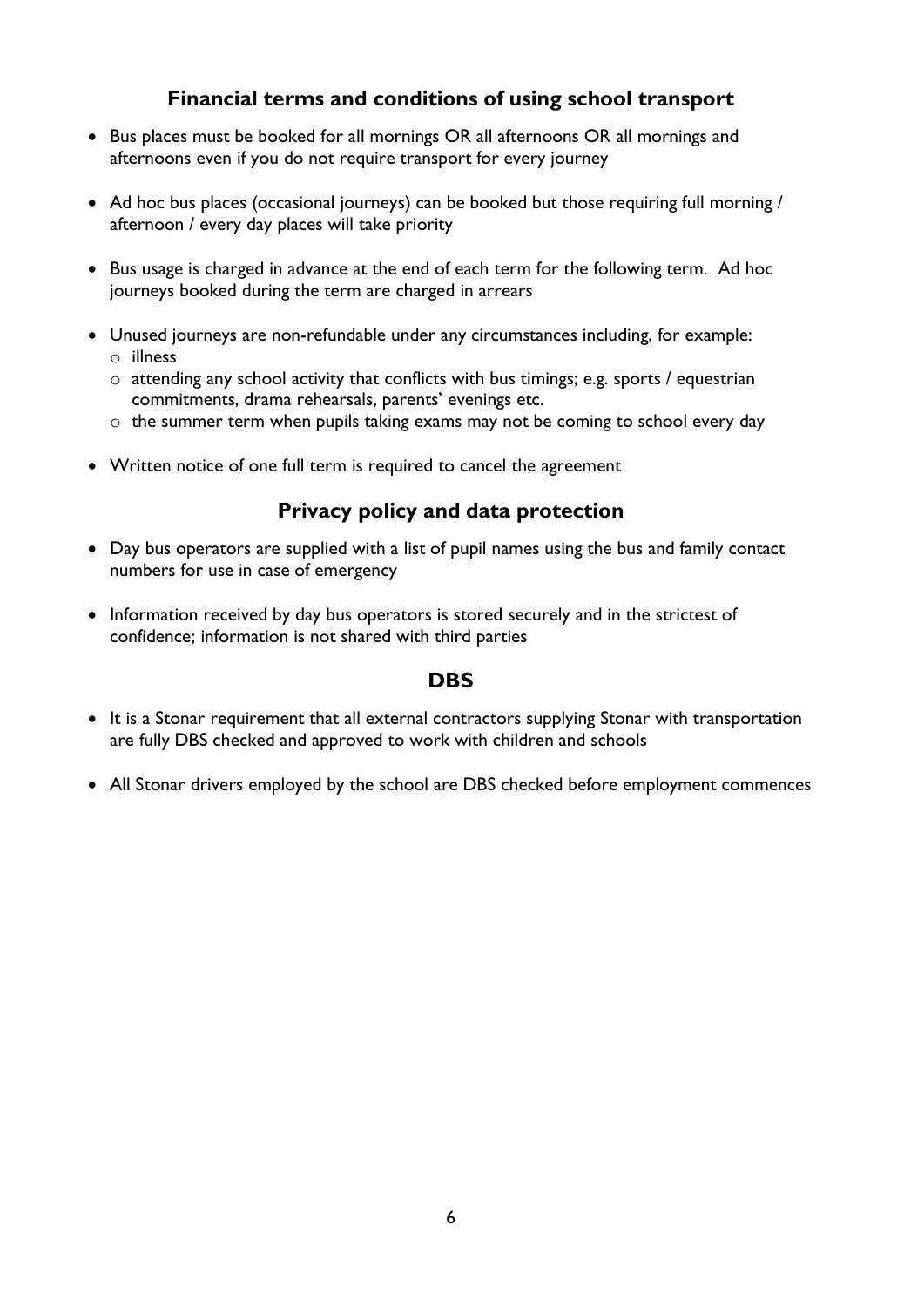# Financial terms and conditions of using school transport

- Bus places must be booked for all mornings OR all afternoons OR all mornings and afternoons even if you do not require transport for every journey
- Ad hoc bus places (occasional journeys) can be booked but those requiring full morning / afternoon / every day places will take priority
- Bus usage is charged in advance at the end of each term for the following term. Ad hoc journeys booked during the term are charged in arrears
- Unused journeys are non-refundable under any circumstances including, for example: o illness
	- o attending any school activity that conflicts with bus timings; e.g. sports / equestrian commitments, drama rehearsals, parents' evenings etc.
	- o the summer term when pupils taking exams may not be coming to school every day
- Written notice of one full term is required to cancel the agreement

#### Privacy policy and data protection

- Day bus operators are supplied with a list of pupil names using the bus and family contact numbers for use in case of emergency
- Information received by day bus operators is stored securely and in the strictest of confidence; information is not shared with third parties

#### **DBS**

- It is a Stonar requirement that all external contractors supplying Stonar with transportation are fully DBS checked and approved to work with children and schools
- All Stonar drivers employed by the school are DBS checked before employment commences